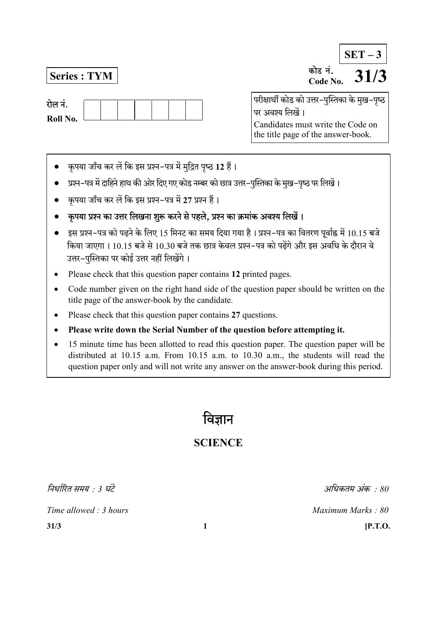Series : TYM कोड नं. Code No.  $SET - 3$ 

> परीक्षार्थी कोड को उत्तर-पुस्तिका के मुख-पृष्ठ पर अवश्य लिखें। Candidates must write the Code on the title page of the answer-book.

- कृपया जाँच कर लें कि इस प्रश्न-पत्र में मुद्रित पृष्ठ 12 हैं।
- प्रश्न-पत्र में दाहिने हाथ की ओर दिए गए कोड नम्बर को छात्र उत्तर-पुस्तिका के मुख-पृष्ठ पर लिखें।
- कृपया जाँच कर लें कि इस प्रश्न-पत्र में 27 प्रश्न हैं।
- कुपया प्रश्न का उत्तर लिखना शुरू करने से पहले, प्रश्न का क्रमांक अवश्य लिखें।
- इस प्रश्न-पत्र को पढने के लिए 15 मिनट का समय दिया गया है। प्रश्न-पत्र का वितरण पर्वाह्न में 10.15 बजे किया जाएगा। 10.15 बजे से 10.30 बजे तक छात्र केवल प्रश्न–पत्र को पढेंगे और इस अवधि के दौरान वे उत्तर-पुस्तिका पर कोई उत्तर नहीं लिखेंगे।
- Please check that this question paper contains 12 printed pages.
- Code number given on the right hand side of the question paper should be written on the title page of the answer-book by the candidate.
- Please check that this question paper contains 27 questions.
- Please write down the Serial Number of the question before attempting it.
- 15 minute time has been allotted to read this question paper. The question paper will be distributed at 10.15 a.m. From 10.15 a.m. to 10.30 a.m., the students will read the question paper only and will not write any answer on the answer-book during this period.

# वज्ञान

## **SCIENCE**

निर्धारित समय  $\cdot$  3 घंटे किया किया किया किया किया जाता है। उसके अधिकतम अंक  $\cdot$  80

Time allowed : 3 hours and the set of the Maximum Marks : 80

 $31/3$  [P.T.O.

रोल नं. Roll No.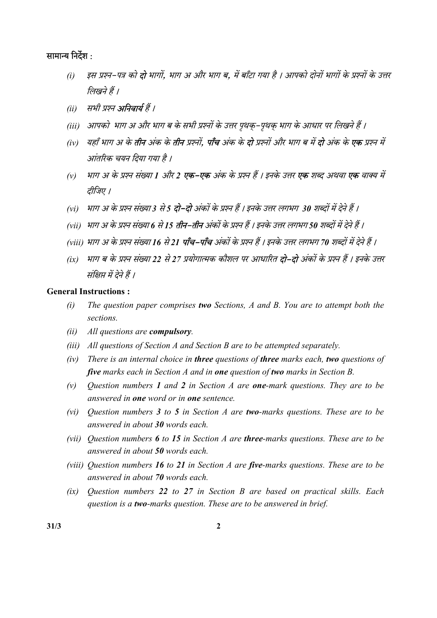#### सामान्य निर्देश :

- (i) इस प्रश्न-पत्र को **दो** भागों, भाग अ और भाग ब, में बाँटा गया है । आपको दोनों भागों के प्रश्नों के उत्तर लिखने हैं ।
- (ii) सभी प्रश्न **अनिवार्य** हैं ।
- (iii) आपको भाग अ और भाग ब के सभी प्रश्नों के उत्तर पृथक्-पृथक् भाग के आधार पर लिखने हैं ।
- (iv) यहाँ भाग अ के **तीन** अंक के **तीन** प्रश्नों, **पाँच** अंक के **दो** प्रश्नों और भाग ब में **दो** अंक के **एक** प्रश्न में आंतरिक चयन दिया गया है ।
- (v) भाग अ के प्रश्न संख्या 1 और 2 **एक–एक** अंक के प्रश्न हैं । इनके उत्तर **एक** शब्द अथवा **एक** वाक्य में तीजिए ।
- (vi) भाग अ के प्रश्न संख्या 3 से 5 **दो–दो** अंकों के प्रश्न हैं । इनके उत्तर लगभग 30 शब्दों में देने हैं ।
- (vii) भाग अ के प्रश्न संख्या 6 से 15 **तीन–तीन** अंकों के प्रश्न हैं । इनके उत्तर लगभग 50 शब्दों में देने हैं ।
- (viii) भाग अ के प्रश्न संख्या 16 से 21 **पाँच–पाँच** अंकों के प्रश्न हैं । इनके उत्तर लगभग 70 शब्दों में देने हैं ।
- (ix) भाग ब के प्रश्न संख्या 22 से 27 प्रयोगात्मक कौशल पर आधारित **दो–दो** अंकों के प्रश्न हैं । इनके उत्तर संक्षिप्त में देने हैं ।

#### General Instructions :

- $(i)$  The question paper comprises two Sections, A and B. You are to attempt both the sections.
- (ii) All questions are compulsory.
- (iii) All questions of Section A and Section B are to be attempted separately.
- $(iv)$  There is an internal choice in three questions of three marks each, two questions of five marks each in Section  $A$  and in one question of two marks in Section  $B$ .
- (v) Ouestion numbers 1 and 2 in Section A are **one-**mark questions. They are to be answered in one word or in one sentence.
- (vi) Ouestion numbers 3 to 5 in Section A are two-marks questions. These are to be answered in about 30 words each.
- (vii) Ouestion numbers  $6$  to 15 in Section A are three-marks questions. These are to be answered in about 50 words each.
- (viii) Question numbers 16 to 21 in Section A are five-marks questions. These are to be answered in about 70 words each.
- (ix) Question numbers 22 to 27 in Section B are based on practical skills. Each question is a two-marks question. These are to be answered in brief.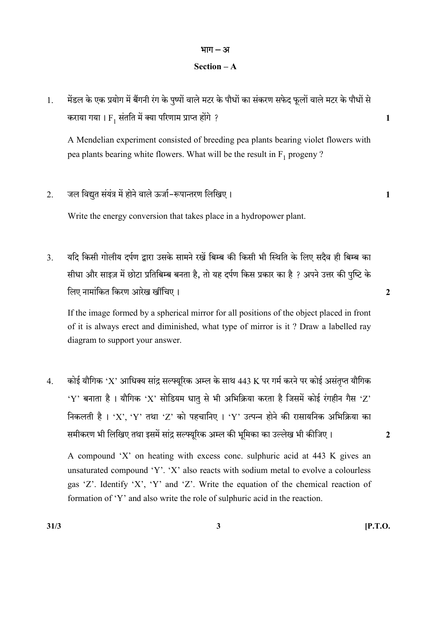#### भाग $-3I$

#### Section – A

1. मेंडल के एक प्रयोग में बैंगनी रंग के पृष्पों वाले मटर के पौधों का संकरण सफेद फूलों वाले मटर के पौधों से कराया गया ।  $\mathrm{F_{1}}$  संतति में क्या परिणाम प्राप्त होंगे ?  $1$ 

A Mendelian experiment consisted of breeding pea plants bearing violet flowers with pea plants bearing white flowers. What will be the result in  $F_1$  progeny ?

2. - 1

Write the energy conversion that takes place in a hydropower plant.

3. यदि किसी गोलीय दर्पण द्वारा उसके सामने रखें बिम्ब की किसी भी स्थिति के लिए सदैव ही बिम्ब का सीधा और साइज़ में छोटा प्रतिबिम्ब बनता है, तो यह दर्पण किस प्रकार का है ? अपने उत्तर की पुष्टि के 2

If the image formed by a spherical mirror for all positions of the object placed in front of it is always erect and diminished, what type of mirror is it ? Draw a labelled ray diagram to support your answer.

4. कोई यौगिक 'X' आधिक्य सांद्र सल्फ्यूरिक अम्ल के साथ 443 K पर गर्म करने पर कोई असंतुप्त यौगिक 'Y' बनाता है। यौगिक 'X' सोडियम धातु से भी अभिक्रिया करता है जिसमें कोई रंगहीन गैस 'Z' निकलती है। 'X', 'Y' तथा 'Z' को पहचानिए। 'Y' उत्पन्न होने की रासायनिक अभिक्रिया का समीकरण भी लिखिए तथा इसमें सांद्र सल्फ्युरिक अम्ल की भूमिका का उल्लेख भी कीजिए। 2

A compound 'X' on heating with excess conc. sulphuric acid at 443 K gives an unsaturated compound 'Y'. 'X' also reacts with sodium metal to evolve a colourless gas 'Z'. Identify 'X', 'Y' and 'Z'. Write the equation of the chemical reaction of formation of 'Y' and also write the role of sulphuric acid in the reaction.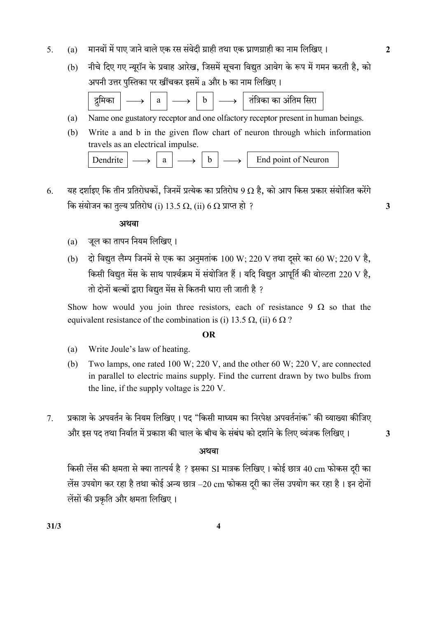- 5. (a) 2
	- (b) नीचे दिए गए न्यूरॉन के प्रवाह आरेख, जिसमें सूचना विद्युत आवेग के रूप में गमन करती है, को अपनी उत्तर पुस्तिका पर खींचकर इसमें a और b का नाम लिखिए।



- (a) Name one gustatory receptor and one olfactory receptor present in human beings.
- (b) Write a and b in the given flow chart of neuron through which information travels as an electrical impulse.

| Dendrite |  |  | End point of Neuron |
|----------|--|--|---------------------|
|          |  |  |                     |

6. यह दर्शाइए कि तीन प्रतिरोधकों, जिनमें प्रत्येक का प्रतिरोध 9 Ω है, को आप किस प्रकार संयोजित करेंगे कि संयोजन का तुल्य प्रतिरोध (i) 13.5  $\Omega$ , (ii) 6  $\Omega$  प्राप्त हो ?

#### अथवा

- (a) जूल का तापन नियम लिखिए।
- (b) दो विद्युत लैम्प जिनमें से एक का अनुमतांक 100 W; 220 V तथा दूसरे का 60 W; 220 V है, किसी विद्युत मेंस के साथ पार्श्वक्रम में संयोजित हैं। यदि विद्युत आपूर्ति की वोल्टता 220 V है. तो दोनों बल्बों द्वारा विद्युत मेंस से कितनी धारा ली जाती है ?

Show how would you join three resistors, each of resistance 9  $\Omega$  so that the equivalent resistance of the combination is (i) 13.5  $\Omega$ , (ii) 6  $\Omega$ ?

#### OR

- (a) Write Joule's law of heating.
- (b) Two lamps, one rated 100 W; 220 V, and the other 60 W; 220 V, are connected in parallel to electric mains supply. Find the current drawn by two bulbs from the line, if the supply voltage is 220 V.
- 7. प्रकाश के अपवर्तन के नियम लिखिए । पद "किसी माध्यम का निरपेक्ष अपवर्तनांक" की व्याख्या कीजिए और इस पद तथा निर्वात में प्रकाश की चाल के बीच के संबंध को दर्शाने के लिए व्यंजक लिखिए। 3

#### अथवा

किसी लेंस की क्षमता से क्या तात्पर्य है ? इसका SI मात्रक लिखिए। कोई छात्र 40 cm फोकस दुरी का लेंस उपयोग कर रहा है तथा कोई अन्य छात्र  $-20$  cm फोकस दूरी का लेंस उपयोग कर रहा है। इन दोनों लेंसों की प्रकृति और क्षमता लिखिए।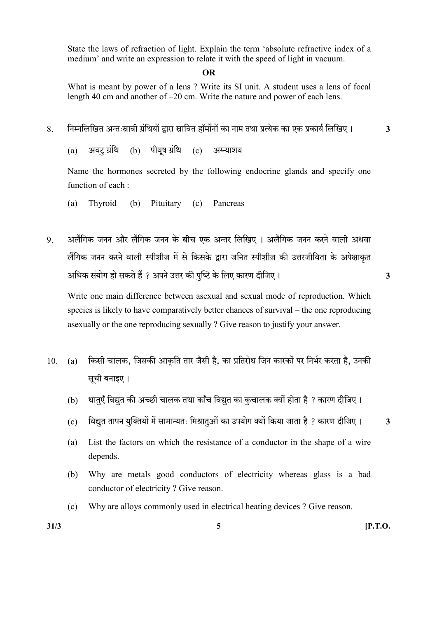State the laws of refraction of light. Explain the term 'absolute refractive index of a medium' and write an expression to relate it with the speed of light in vacuum.

#### OR

 What is meant by power of a lens ? Write its SI unit. A student uses a lens of focal length 40 cm and another of –20 cm. Write the nature and power of each lens.

8. निम्नलिखित अन्तःस्रावी ग्रंथियों द्वारा स्रावित हॉर्मोनों का नाम तथा प्रत्येक का एक प्रकार्य लिखिए। 3

 $(a)$  अवट ग्रंथि (b) पीयुष ग्रंथि (c) अग्न्याशय

Name the hormones secreted by the following endocrine glands and specify one function of each :

- (a) Thyroid (b) Pituitary (c) Pancreas
- 9. अलैंगिक जनन और लैंगिक जनन के बीच एक अन्तर लिखिए । अलैंगिक जनन करने वाली अथवा लैंगिक जनन करने वाली स्पीशीज़ में से किसके द्वारा जनित स्पीशीज़ की उत्तरजीविता के अपेक्षाकृत ? 3

Write one main difference between asexual and sexual mode of reproduction. Which species is likely to have comparatively better chances of survival – the one reproducing asexually or the one reproducing sexually ? Give reason to justify your answer.

- 10. (a) किसी चालक, जिसकी आकृति तार जैसी है, का प्रतिरोध जिन कारकों पर निर्भर करता है, उनकी सूची बनाइए।
	- (b) धात्एँ विद्युत की अच्छी चालक तथा काँच विद्युत का कुचालक क्यों होता है ? कारण दीजिए।
	- (c) विद्युत तापन युक्तियों में सामान्यतः मिश्रातुओं का उपयोग क्यों किया जाता है ? कारण दीजिए। 3
	- (a) List the factors on which the resistance of a conductor in the shape of a wire depends.
	- (b) Why are metals good conductors of electricity whereas glass is a bad conductor of electricity ? Give reason.
	- (c) Why are alloys commonly used in electrical heating devices ? Give reason.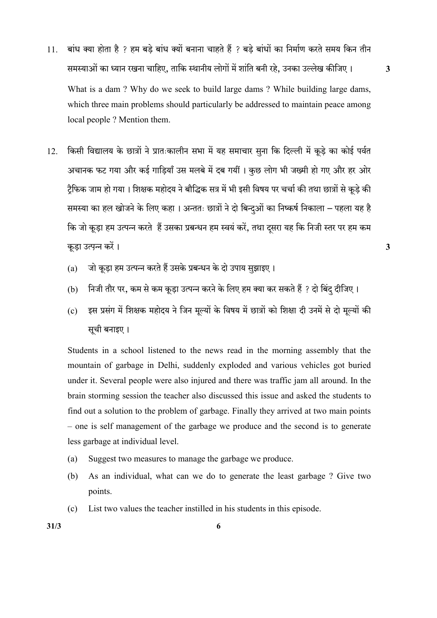- 11. बांध क्या होता है ? हम बड़े बांध क्यों बनाना चाहते हैं ? बड़े बांधों का निर्माण करते समय किन तीन , , 3 What is a dam ? Why do we seek to build large dams ? While building large dams, which three main problems should particularly be addressed to maintain peace among local people ? Mention them.
- 12. किसी विद्यालय के छात्रों ने प्रातःकालीन सभा में यह समाचार सुना कि दिल्ली में कूड़े का कोई पर्वत अचानक फट गया और कई गाडियाँ उस मलबे में दब गयीं । कछ लोग भी जख्मी हो गए और हर ओर टैफिक जाम हो गया। शिक्षक महोदय ने बौद्धिक सत्र में भी इसी विषय पर चर्चा की तथा छात्रों से कुड़े की समस्या का हल खोजने के लिए कहा। अन्ततः छात्रों ने दो बिन्दओं का निष्कर्ष निकाला – पहला यह है कि जो कूड़ा हम उत्पन्न करते हैं उसका प्रबन्धन हम स्वयं करें, तथा दसरा यह कि निजी स्तर पर हम कम 3

- (a) जो कूड़ा हम उत्पन्न करते हैं उसके प्रबन्धन के दो उपाय सुझाइए।
- (b) निजी तौर पर, कम से कम कूड़ा उत्पन्न करने के लिए हम क्या कर सकते हैं ? दो बिंदु दीजिए।
- (c) इस प्रसंग में शिक्षक महोदय ने जिन मूल्यों के विषय में छात्रों को शिक्षा दी उनमें से दो मूल्यों की सूची बनाइए।

 Students in a school listened to the news read in the morning assembly that the mountain of garbage in Delhi, suddenly exploded and various vehicles got buried under it. Several people were also injured and there was traffic jam all around. In the brain storming session the teacher also discussed this issue and asked the students to find out a solution to the problem of garbage. Finally they arrived at two main points – one is self management of the garbage we produce and the second is to generate less garbage at individual level.

- (a) Suggest two measures to manage the garbage we produce.
- (b) As an individual, what can we do to generate the least garbage ? Give two points.
- (c) List two values the teacher instilled in his students in this episode.

 $31/3$  6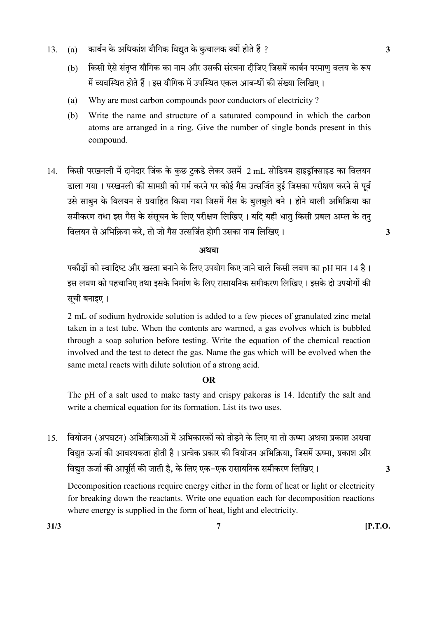- 13. (a) कार्बन के अधिकांश यौगिक विद्युत के कुचालक क्यों होते हैं ?
	- (b) किसी ऐसे संतृप्त यौगिक का नाम और उसकी संरचना दीजिए जिसमें कार्बन परमाणु वलय के रूप में व्यवस्थित होते हैं। इस यौगिक में उपस्थित एकल आबन्धों की संख्या लिखिए।
	- (a) Why are most carbon compounds poor conductors of electricity ?
	- (b) Write the name and structure of a saturated compound in which the carbon atoms are arranged in a ring. Give the number of single bonds present in this compound.
- 14. किसी परखनली में दानेदार जिंक के कुछ टुकडे लेकर उसमें 2 mL सोडियम हाइड्रॉक्साइड का विलयन डाला गया। परखनली की सामग्री को गर्म करने पर कोई गैस उत्सर्जित हुई जिसका परीक्षण करने से पूर्व उसे साबून के विलयन से प्रवाहित किया गया जिसमें गैस के बूलबूले बने । होने वाली अभिक्रिया का समीकरण तथा इस गैस के संसूचन के लिए परीक्षण लिखिए। यदि यही धातु किसी प्रबल अम्ल के तन् , 3

#### अथवा

पकौड़ों को स्वादिष्ट और खस्ता बनाने के लिए उपयोग किए जाने वाले किसी लवण का pH मान 14 है। इस लवण को पहचानिए तथा इसके निर्माण के लिए रासायनिक समीकरण लिखिए। इसके दो उपयोगों की सूची बनाइए।

2 mL of sodium hydroxide solution is added to a few pieces of granulated zinc metal taken in a test tube. When the contents are warmed, a gas evolves which is bubbled through a soap solution before testing. Write the equation of the chemical reaction involved and the test to detect the gas. Name the gas which will be evolved when the same metal reacts with dilute solution of a strong acid.

#### OR

 The pH of a salt used to make tasty and crispy pakoras is 14. Identify the salt and write a chemical equation for its formation. List its two uses.

15. वियोजन (अपघटन) अभिक्रियाओं में अभिकारकों को तोडने के लिए या तो ऊष्मा अथवा प्रकाश अथवा विद्युत ऊर्जा की आवश्यकता होती है। प्रत्येक प्रकार की वियोजन अभिक्रिया, जिसमें ऊष्मा, प्रकाश और , - 3

Decomposition reactions require energy either in the form of heat or light or electricity for breaking down the reactants. Write one equation each for decomposition reactions where energy is supplied in the form of heat, light and electricity.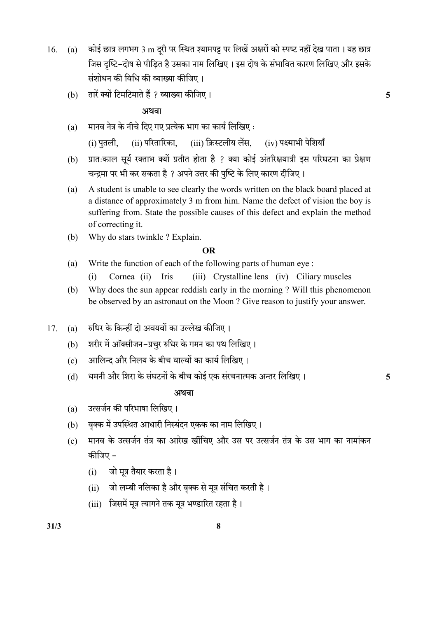- $16.$  (a) कोई छात्र लगभग 3 m दूरी पर स्थित श्यामपट्ट पर लिखें अक्षरों को स्पष्ट नहीं देख पाता । यह छात्र जिस दृष्टि-दोष से पीड़ित है उसका नाम लिखिए। इस दोष के संभावित कारण लिखिए और इसके संशोधन की विधि की व्याख्या कीजिए।
	- (b) तारें क्यों टिमटिमाते हैं ? व्याख्या कीजिए । संस्था कार्यालय का स्वतंत्र करने के साथ प्रकार के साथ प्रकार

#### अथवा

 $(a)$  मानव नेत्र के नीचे दिए गए प्रत्येक भाग का कार्य लिखिए :

(i) पुतली, (ii) परितारिका, (iii) क्रिस्टलीय लेंस, (iv) पक्ष्माभी पेशियाँ

- (b) प्रातःकाल सूर्य रक्ताभ क्यों प्रतीत होता है ? क्या कोई अंतरिक्षयात्री इस परिघटना का प्रेक्षण चन्द्रमा पर भी कर सकता है ? अपने उत्तर की पुष्टि के लिए कारण दीजिए।
- (a) A student is unable to see clearly the words written on the black board placed at a distance of approximately 3 m from him. Name the defect of vision the boy is suffering from. State the possible causes of this defect and explain the method of correcting it.
- (b) Why do stars twinkle ? Explain.

#### OR

- (a) Write the function of each of the following parts of human eye :
	- (i) Cornea (ii) Iris (iii) Crystalline lens (iv) Ciliary muscles
- (b) Why does the sun appear reddish early in the morning ? Will this phenomenon be observed by an astronaut on the Moon ? Give reason to justify your answer.
- 17. (a) रुधिर के किन्हीं दो अवयवों का उल्लेख कीजिए।
	- (b) शरीर में ऑक्सीजन-प्रचुर रुधिर के गमन का पथ लिखिए।
	- (c) आलिन्द और निलय के बीच वाल्वों का कार्य लिखिए।
	- (d) धमनी और शिरा के संघटनों के बीच कोई एक संरचनात्मक अन्तर लिखिए। 5

#### स्त्रीय संस्थान के संस्थान के संस्थान के संस्थान के संस्थान के संस्थान के संस्थान के संस्थान के संस्थान के संस<br>संस्थान के संस्थान के संस्थान के संस्थान के संस्थान के संस्थान के संस्थान के संस्थान के संस्थान के संस्थान के

- (a) उत्सर्जन की परिभाषा लिखिए।
- (b) वृक्क में उपस्थित आधारी निस्यंदन एकक का नाम लिखिए।
- (c) मानव के उत्सर्जन तंत्र का आरेख खींचिए और उस पर उत्सर्जन तंत्र के उस भाग का नामांकन कीजिए –
	- (i) जो मूत्र तैयार करता है।
	- (ii) जो लम्बी नलिका है और वृक्क से मूत्र संचित करती है।
	- (iii) जिसमें मूत्र त्यागने तक मूत्र भण्डारित रहता है।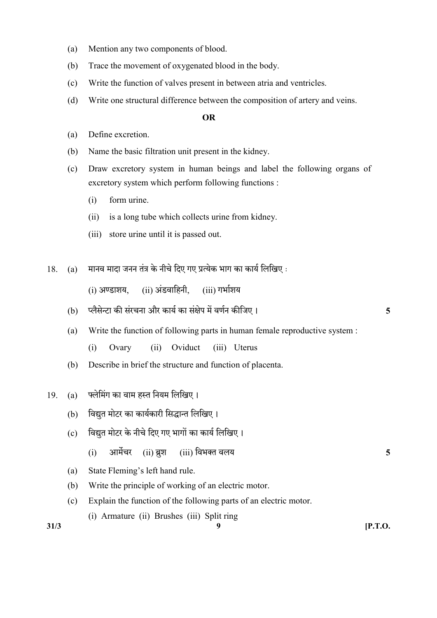- (a) Mention any two components of blood.
- (b) Trace the movement of oxygenated blood in the body.
- (c) Write the function of valves present in between atria and ventricles.
- (d) Write one structural difference between the composition of artery and veins.

#### OR

- (a) Define excretion.
- (b) Name the basic filtration unit present in the kidney.
- (c) Draw excretory system in human beings and label the following organs of excretory system which perform following functions :
	- (i) form urine.
	- (ii) is a long tube which collects urine from kidney.
	- (iii) store urine until it is passed out.
- $18.$  (a) मानव मादा जनन तंत्र के नीचे दिए गए प्रत्येक भाग का कार्य लिखिए:

 $(i)$  अण्डाशय.  $(ii)$  अंडवाहिनी.  $(iii)$  गर्भाशय

- (b) 5
- (a) Write the function of following parts in human female reproductive system :
	- (i) Ovary (ii) Oviduct (iii) Uterus
- (b) Describe in brief the structure and function of placenta.
- 19. (a) फ्लेमिंग का वाम हस्त नियम लिखिए।
	- (b) विद्युत मोटर का कार्यकारी सिद्धान्त लिखिए।
	- (c) विद्युत मोटर के नीचे दिए गए भागों का कार्य लिखिए।
		- (i) आर्मेचर (ii) ब्रश (iii) विभक्त वलय
	- (a) State Fleming's left hand rule.
	- (b) Write the principle of working of an electric motor.
	- (c) Explain the function of the following parts of an electric motor.
		- (i) Armature (ii) Brushes (iii) Split ring

 $31/3$  [P.T.O.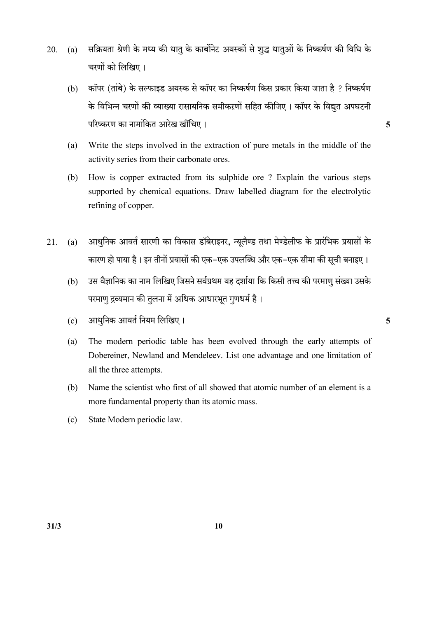- 20. (a) सक्रियता श्रेणी के मध्य की धातु के कार्बोनेट अयस्कों से शुद्ध धातुओं के निष्कर्षण की विधि के चरणों को लिखिए।
	- (b) कॉपर (तांबे) के सल्फाइड अयस्क से कॉपर का निष्कर्षण किस प्रकार किया जाता है ? निष्कर्षण के विभिन्न चरणों की व्याख्या रासायनिक समीकरणों सहित कीजिए । कॉपर के विद्युत अपघटनी 5
	- (a) Write the steps involved in the extraction of pure metals in the middle of the activity series from their carbonate ores.
	- (b) How is copper extracted from its sulphide ore ? Explain the various steps supported by chemical equations. Draw labelled diagram for the electrolytic refining of copper.
- 21. (a) आधुनिक आवर्त सारणी का विकास डॉबेराइनर, न्यूलैण्ड तथा मेण्डेलीफ के प्रारंभिक प्रयासों के कारण हो पाया है। इन तीनों प्रयासों की एक–एक उपलब्धि और एक–एक सीमा की सूची बनाइए।
	- (b) उस वैज्ञानिक का नाम लिखिए जिसने सर्वप्रथम यह दर्शाया कि किसी तत्त्व की परमाणु संख्या उसके परमाणु द्रव्यमान की तुलना में अधिक आधारभूत गुणधर्म है।
	- $\sim$  0  $\sim$  311धनिक आवर्त नियम लिखिए ।
	- (a) The modern periodic table has been evolved through the early attempts of Dobereiner, Newland and Mendeleev. List one advantage and one limitation of all the three attempts.
	- (b) Name the scientist who first of all showed that atomic number of an element is a more fundamental property than its atomic mass.
	- (c) State Modern periodic law.

 $31/3$  10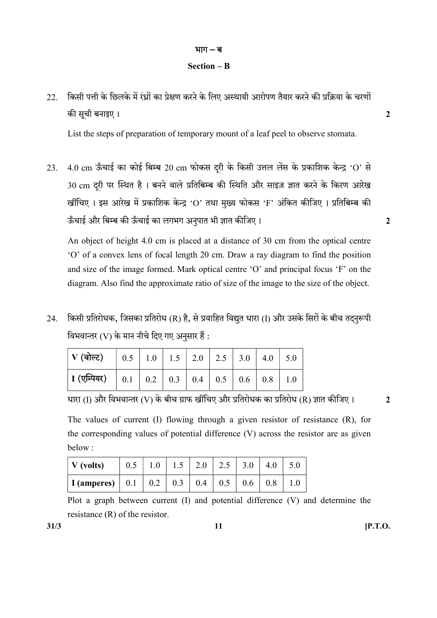### भाग $-$ ब

#### Section – B

22. किसी पत्ती के छिलके में रंध्रों का प्रेक्षण करने के लिए अस्थायी आरोपण तैयार करने की प्रक्रिया के चरणों की सूची बनाइए ।  $\qquad \qquad \qquad$ 

List the steps of preparation of temporary mount of a leaf peel to observe stomata.

23. 4.0 cm ऊँचाई का कोई बिम्ब 20 cm फोकस दुरी के किसी उत्तल लेंस के प्रकाशिक केन्द्र 'O' से 30 cm दूरी पर स्थित है। बनने वाले प्रतिबिम्ब की स्थिति और साइज़ ज्ञात करने के किरण आरेख खींचिए । इस आरेख में प्रकाशिक केन्द्र 'O' तथा मुख्य फोकस 'F' अंकित कीजिए । प्रतिबिम्ब की 2

An object of height 4.0 cm is placed at a distance of 30 cm from the optical centre 'O' of a convex lens of focal length 20 cm. Draw a ray diagram to find the position and size of the image formed. Mark optical centre 'O' and principal focus 'F' on the diagram. Also find the approximate ratio of size of the image to the size of the object.

24. किसी प्रतिरोधक, जिसका प्रतिरोध (R) है, से प्रवाहित विद्युत धारा (I) और उसके सिरों के बीच तदनुरूपी विभवान्तर (V) के मान नीचे दिए गए अनुसार हैं:

(I) (V) (R) 2

The values of current (I) flowing through a given resistor of resistance (R), for the corresponding values of potential difference (V) across the resistor are as given below :

| $\vert$ V (volts)                                                  |  | 0.5   1.0   1.5   2.0   2.5   3.0   4.0   5.0 |  |  |
|--------------------------------------------------------------------|--|-----------------------------------------------|--|--|
| <b>I</b> (amperes)   0.1   0.2   0.3   0.4   0.5   0.6   0.8   1.0 |  |                                               |  |  |

 Plot a graph between current (I) and potential difference (V) and determine the resistance (R) of the resistor.